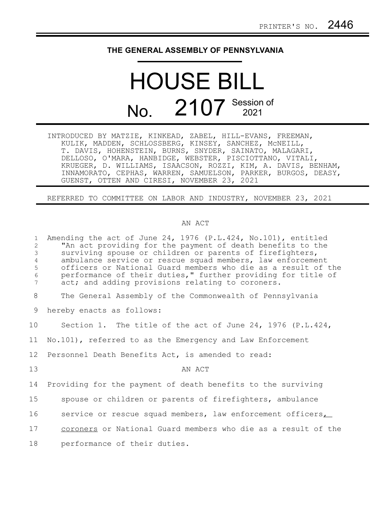## **THE GENERAL ASSEMBLY OF PENNSYLVANIA**

## HOUSE BILL No. 2107 Session of

INTRODUCED BY MATZIE, KINKEAD, ZABEL, HILL-EVANS, FREEMAN, KULIK, MADDEN, SCHLOSSBERG, KINSEY, SANCHEZ, McNEILL, T. DAVIS, HOHENSTEIN, BURNS, SNYDER, SAINATO, MALAGARI, DELLOSO, O'MARA, HANBIDGE, WEBSTER, PISCIOTTANO, VITALI, KRUEGER, D. WILLIAMS, ISAACSON, ROZZI, KIM, A. DAVIS, BENHAM, INNAMORATO, CEPHAS, WARREN, SAMUELSON, PARKER, BURGOS, DEASY, GUENST, OTTEN AND CIRESI, NOVEMBER 23, 2021

REFERRED TO COMMITTEE ON LABOR AND INDUSTRY, NOVEMBER 23, 2021

## AN ACT

| $\mathbf{1}$<br>2<br>$\mathfrak{Z}$<br>$\overline{4}$<br>5<br>6<br>7 | Amending the act of June 24, 1976 $(P.L.424, No.101)$ , entitled<br>"An act providing for the payment of death benefits to the<br>surviving spouse or children or parents of firefighters,<br>ambulance service or rescue squad members, law enforcement<br>officers or National Guard members who die as a result of the<br>performance of their duties," further providing for title of<br>act; and adding provisions relating to coroners. |
|----------------------------------------------------------------------|-----------------------------------------------------------------------------------------------------------------------------------------------------------------------------------------------------------------------------------------------------------------------------------------------------------------------------------------------------------------------------------------------------------------------------------------------|
| 8                                                                    | The General Assembly of the Commonwealth of Pennsylvania                                                                                                                                                                                                                                                                                                                                                                                      |
| 9                                                                    | hereby enacts as follows:                                                                                                                                                                                                                                                                                                                                                                                                                     |
| 10                                                                   | Section 1. The title of the act of June 24, 1976 $(P.L.424, p.)$                                                                                                                                                                                                                                                                                                                                                                              |
| 11                                                                   | No.101), referred to as the Emergency and Law Enforcement                                                                                                                                                                                                                                                                                                                                                                                     |
| 12                                                                   | Personnel Death Benefits Act, is amended to read:                                                                                                                                                                                                                                                                                                                                                                                             |
| 13                                                                   | AN ACT                                                                                                                                                                                                                                                                                                                                                                                                                                        |
| 14                                                                   | Providing for the payment of death benefits to the surviving                                                                                                                                                                                                                                                                                                                                                                                  |
| 15                                                                   | spouse or children or parents of firefighters, ambulance                                                                                                                                                                                                                                                                                                                                                                                      |
| 16                                                                   | service or rescue squad members, law enforcement officers                                                                                                                                                                                                                                                                                                                                                                                     |
| 17                                                                   | coroners or National Guard members who die as a result of the                                                                                                                                                                                                                                                                                                                                                                                 |
| 18                                                                   | performance of their duties.                                                                                                                                                                                                                                                                                                                                                                                                                  |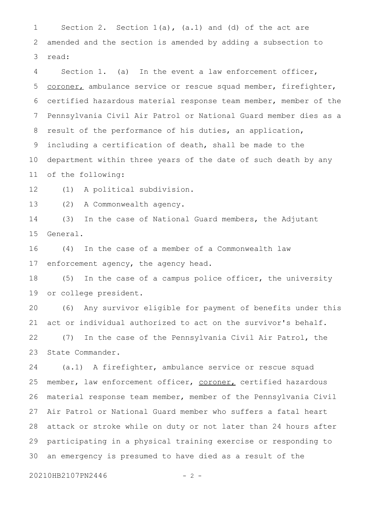Section 2. Section  $1(a)$ ,  $(a.1)$  and  $(d)$  of the act are amended and the section is amended by adding a subsection to read: 1 2 3

Section 1. (a) In the event a law enforcement officer, coroner, ambulance service or rescue squad member, firefighter, certified hazardous material response team member, member of the Pennsylvania Civil Air Patrol or National Guard member dies as a result of the performance of his duties, an application, including a certification of death, shall be made to the department within three years of the date of such death by any of the following: 4 5 6 7 8 9 10 11

(1) A political subdivision. 12

(2) A Commonwealth agency. 13

(3) In the case of National Guard members, the Adjutant General. 14 15

(4) In the case of a member of a Commonwealth law enforcement agency, the agency head. 16 17

(5) In the case of a campus police officer, the university or college president. 18 19

(6) Any survivor eligible for payment of benefits under this act or individual authorized to act on the survivor's behalf. (7) In the case of the Pennsylvania Civil Air Patrol, the State Commander. 20 21 22 23

(a.1) A firefighter, ambulance service or rescue squad member, law enforcement officer, coroner, certified hazardous material response team member, member of the Pennsylvania Civil Air Patrol or National Guard member who suffers a fatal heart attack or stroke while on duty or not later than 24 hours after participating in a physical training exercise or responding to an emergency is presumed to have died as a result of the 24 25 26 27 28 29 30

20210HB2107PN2446 - 2 -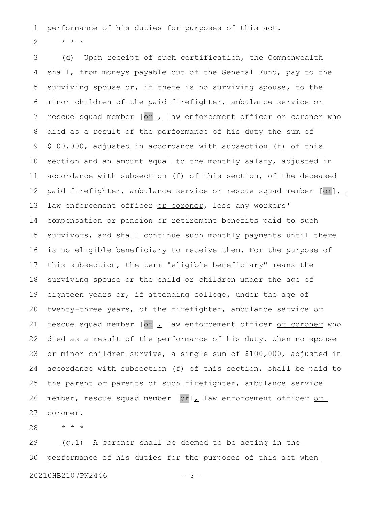performance of his duties for purposes of this act. 1

\* \* \* 2

(d) Upon receipt of such certification, the Commonwealth shall, from moneys payable out of the General Fund, pay to the surviving spouse or, if there is no surviving spouse, to the minor children of the paid firefighter, ambulance service or rescue squad member  $[or]_L$  law enforcement officer or coroner who died as a result of the performance of his duty the sum of \$100,000, adjusted in accordance with subsection (f) of this section and an amount equal to the monthly salary, adjusted in accordance with subsection (f) of this section, of the deceased paid firefighter, ambulance service or rescue squad member  $[or]_{\perp}$ law enforcement officer or coroner, less any workers' compensation or pension or retirement benefits paid to such survivors, and shall continue such monthly payments until there is no eligible beneficiary to receive them. For the purpose of this subsection, the term "eligible beneficiary" means the surviving spouse or the child or children under the age of eighteen years or, if attending college, under the age of twenty-three years, of the firefighter, ambulance service or rescue squad member  $[or]_L$  law enforcement officer or coroner who died as a result of the performance of his duty. When no spouse or minor children survive, a single sum of \$100,000, adjusted in accordance with subsection (f) of this section, shall be paid to the parent or parents of such firefighter, ambulance service member, rescue squad member [or], law enforcement officer or coroner. 3 4 5 6 7 8 9 10 11 12 13 14 15 16 17 18 19 20 21 22 23 24 25 26 27

\* \* \* 28

(g.1) A coroner shall be deemed to be acting in the performance of his duties for the purposes of this act when 29 30

20210HB2107PN2446 - 3 -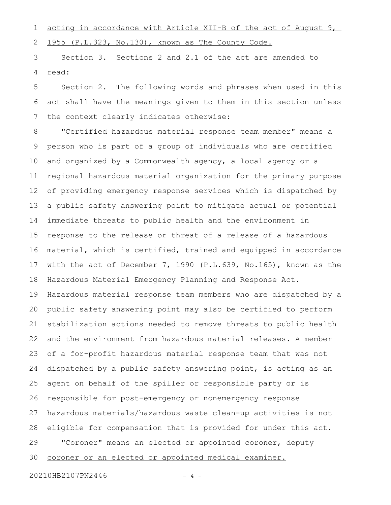acting in accordance with Article XII-B of the act of August 9, 1

1955 (P.L.323, No.130), known as The County Code. 2

Section 3. Sections 2 and 2.1 of the act are amended to read: 3 4

Section 2. The following words and phrases when used in this act shall have the meanings given to them in this section unless the context clearly indicates otherwise: 5 6 7

"Certified hazardous material response team member" means a person who is part of a group of individuals who are certified and organized by a Commonwealth agency, a local agency or a regional hazardous material organization for the primary purpose of providing emergency response services which is dispatched by a public safety answering point to mitigate actual or potential immediate threats to public health and the environment in response to the release or threat of a release of a hazardous material, which is certified, trained and equipped in accordance with the act of December 7, 1990 (P.L.639, No.165), known as the Hazardous Material Emergency Planning and Response Act. Hazardous material response team members who are dispatched by a public safety answering point may also be certified to perform stabilization actions needed to remove threats to public health and the environment from hazardous material releases. A member of a for-profit hazardous material response team that was not dispatched by a public safety answering point, is acting as an agent on behalf of the spiller or responsible party or is responsible for post-emergency or nonemergency response hazardous materials/hazardous waste clean-up activities is not eligible for compensation that is provided for under this act. "Coroner" means an elected or appointed coroner, deputy coroner or an elected or appointed medical examiner. 8 9 10 11 12 13 14 15 16 17 18 19 20 21 22 23 24 25 26 27 28 29 30

20210HB2107PN2446 - 4 -